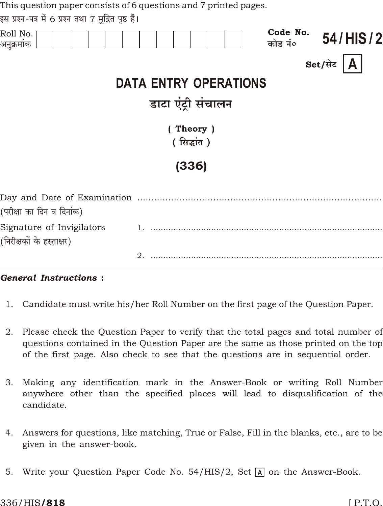| This question paper consists of 6 questions and 7 printed pages. |  |  |  |  |  |  |  |  |            |       |  |  |                     |               |  |
|------------------------------------------------------------------|--|--|--|--|--|--|--|--|------------|-------|--|--|---------------------|---------------|--|
| इस प्रश्न-पत्र में 6 प्रश्न तथा 7 मुद्रित पृष्ठ हैं।             |  |  |  |  |  |  |  |  |            |       |  |  |                     |               |  |
| Roll No.<br>अनुक्रमांक                                           |  |  |  |  |  |  |  |  |            |       |  |  | Code No.<br>कोड नं० | 54/HIS/2      |  |
|                                                                  |  |  |  |  |  |  |  |  |            |       |  |  |                     | Set/सेट $ A $ |  |
| <b>DATA ENTRY OPERATIONS</b>                                     |  |  |  |  |  |  |  |  |            |       |  |  |                     |               |  |
| डाटा एंट्री संचालन                                               |  |  |  |  |  |  |  |  |            |       |  |  |                     |               |  |
|                                                                  |  |  |  |  |  |  |  |  |            |       |  |  |                     |               |  |
| (Theory)                                                         |  |  |  |  |  |  |  |  |            |       |  |  |                     |               |  |
|                                                                  |  |  |  |  |  |  |  |  | (सिद्धांत) |       |  |  |                     |               |  |
|                                                                  |  |  |  |  |  |  |  |  |            | (336) |  |  |                     |               |  |
| Day and Date of Examination                                      |  |  |  |  |  |  |  |  |            |       |  |  |                     |               |  |

| (परीक्षा का दिन व दिनांक) |  |
|---------------------------|--|
| Signature of Invigilators |  |
| (निरीक्षकों के हस्ताक्षर) |  |
|                           |  |

## **General Instructions:**

- 1. Candidate must write his/her Roll Number on the first page of the Question Paper.
- 2. Please check the Question Paper to verify that the total pages and total number of questions contained in the Question Paper are the same as those printed on the top of the first page. Also check to see that the questions are in sequential order.
- Making any identification mark in the Answer-Book or writing Roll Number 3. anywhere other than the specified places will lead to disqualification of the candidate.
- 4. Answers for questions, like matching, True or False, Fill in the blanks, etc., are to be given in the answer-book.
- 5. Write your Question Paper Code No. 54/HIS/2, Set A on the Answer-Book.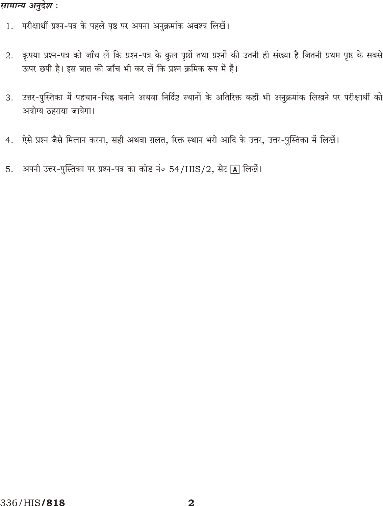### सामान्य अनुदेश :

- 1. परीक्षार्थी प्रश्न-पत्र के पहले पृष्ठ पर अपना अनुक्रमांक अवश्य लिखें।
- 2. कृपया प्रश्न-पत्र को जाँच लें कि प्रश्न-पत्र के कुल पृष्ठों तथा प्रश्नों की उतनी ही संख्या है जितनी प्रथम पृष्ठ के सबसे ऊपर छपी है। इस बात की जाँच भी कर लें कि प्रश्न क्रमिक रूप में हैं।
- 3. उत्तर-पुस्तिका में पहचान-चिह्न बनाने अथवा निर्दिष्ट स्थानों के अतिरिक्त कहीं भी अनुक्रमांक लिखने पर परीक्षार्थी को अयोग्य ठहराया जायेगा।
- 4. ऐसे प्रश्न जैसे मिलान करना, सही अथवा ग़लत, रिक्त स्थान भरो आदि के उत्तर, उत्तर-पुस्तिका में लिखें।
- 5. अपनी उत्तर-पुस्तिका पर प्रश्न-पत्र का कोड नं० 54/HIS/2, सेट [A] लिखें।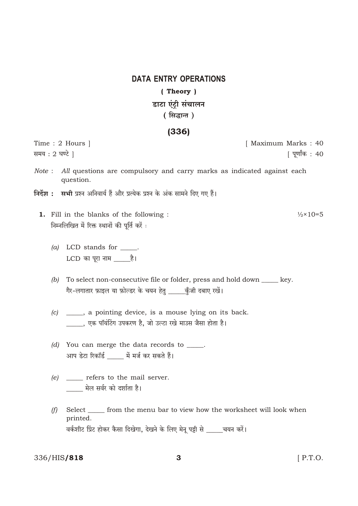# **DATA ENTRY OPERATIONS** (Theory) डाटा एंटी संचालन (सिद्धान्त)

## $(336)$

Time: 2 Hours | समय : 2 घण्टे ।

[ Maximum Marks: 40 [ पूर्णांक : 40

- Note : All questions are compulsory and carry marks as indicated against each question.
- निर्देश : सभी प्रश्न अनिवार्य हैं और प्रत्येक प्रश्न के अंक सामने दिए गए हैं।
	- 1. Fill in the blanks of the following :  $\frac{1}{2} \times 10 = 5$ निम्नलिखित में रिक्त स्थानों की पूर्ति करें :
		- $(a)$  LCD stands for  $\_\_\_\$ .
		- (b) To select non-consecutive file or folder, press and hold down \_\_\_\_\_ key. गैर-लगातार फ़ाइल या फ़ोल्डर के चयन हेतु \_\_\_\_\_क़ुँजी दबाए रखें।
		- (c) \_\_\_\_, a pointing device, is a mouse lying on its back. \_\_\_\_, एक पॉयंटिंग उपकरण है, जो उल्टा रखे माउस जैसा होता है।
		- $(d)$  You can merge the data records to \_\_\_\_\_. आप डेटा रिकॉर्ड \_\_\_\_\_ में मर्ज कर सकते हैं।
		- $(e)$  \_\_\_\_\_\_ refers to the mail server. \_\_\_\_ मेल सर्वर को दर्शाता है।
		- $(f)$ Select \_\_\_\_\_ from the menu bar to view how the worksheet will look when printed. वर्कशीट प्रिंट होकर कैसा दिखेगा, देखने के लिए मेनू पट्टी से \_\_\_\_चयन करें।

336/HIS/818

 $[$  P.T.O.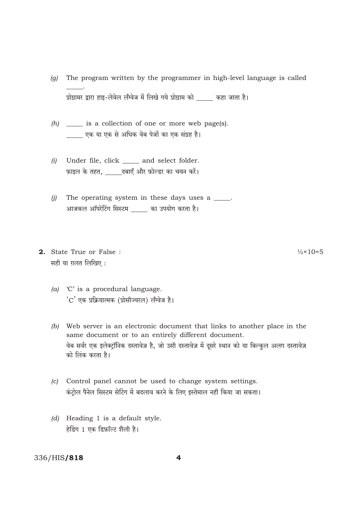- The program written by the programmer in high-level language is called  $\left( q\right)$ प्रोग्रामर द्वारा हाइ-लेवेल लँग्वेज में लिखे गये प्रोग्राम को बाक कहा जाता है।
- $(h)$  \_\_\_\_\_\_ is a collection of one or more web page(s). एक या एक से अधिक वेब पेजों का एक संग्रह है।
- Under file, click \_\_\_\_\_ and select folder.  $(i)$ फ़ाइल के तहत, \_\_\_\_\_\_दबाएँ और फ़ोल्डर का चयन करें।
- The operating system in these days uses a \_\_\_\_.  $(i)$ आजकल ऑपरेटिंग सिस्टम \_\_\_\_ का उपयोग करता है।
- 2. State True or False: सही या ग़लत लिखिए:
	- (a)  $C'$  is a procedural language. 'C' एक प्रक्रियात्मक (प्रोसीज्यरल) लॅंग्वेज है।
	- (b) Web server is an electronic document that links to another place in the same document or to an entirely different document. वेब सर्वर एक इलेक्टॉनिक दस्तावेज़ है, जो उसी दस्तावेज़ में दूसरे स्थान को या बिल्कुल अलग दस्तावेज़ को लिंक करता है।
	- (c) Control panel cannot be used to change system settings. कंटोल पैनेल सिस्टम सेटिंग में बदलाव करने के लिए इस्तेमाल नहीं किया जा सकता।
	- $(d)$  Heading 1 is a default style. हेड़िंग 1 एक डिफ़ॉल्ट शैली है।

### 336/HIS/818

 $\frac{1}{2} \times 10 = 5$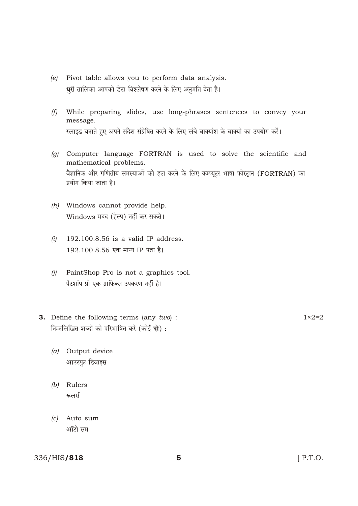- Pivot table allows you to perform data analysis.  $(e)$ धुरी तालिका आपको डेटा विश्लेषण करने के लिए अनुमति देता है।
- (f) While preparing slides, use long-phrases sentences to convey your message. स्लाइड बनाते हुए अपने संदेश संप्रेषित करने के लिए लंबे वाक्यांश के वाक्यों का उपयोग करें।
- (g) Computer language FORTRAN is used to solve the scientific and mathematical problems. वैज्ञानिक और गणितीय समस्याओं को हल करने के लिए कम्प्यूटर भाषा फोरट्रान (FORTRAN) का प्रयोग किया जाता है।
- (h) Windows cannot provide help. Windows मदद (हेल्प) नहीं कर सकते।
- $(i)$  $192.100.8.56$  is a valid IP address. 192,100,8,56 एक मान्य IP पता है।
- $(i)$  PaintShop Pro is not a graphics tool. पेंटशॉप प्रो एक ग्राफिक्स उपकरण नहीं है।
- **3.** Define the following terms (any  $two$ ) : निम्नलिखित शब्दों को परिभाषित करें (कोई दो):
	- (a) Output device आउटपुट डिवाइस
	- (b) Rulers रूलर्स
	- (c) Auto sum ऑटो सम

336/HIS/818

 $1\times 2=2$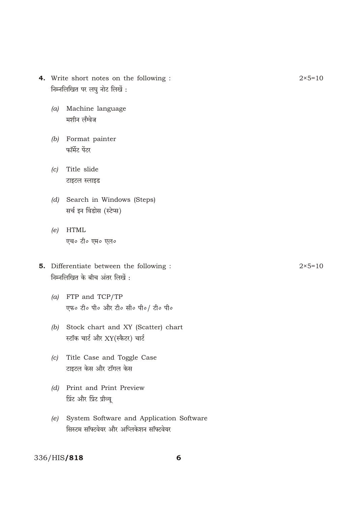- **4.** Write short notes on the following :  $2 \times 5=10$ निम्नलिखित पर लघु नोट लिखें :
	- *(a)* Machine language मशीन लॅंग्वेज
	- *(b)* Format painter  $\bar{\mathbf{w}}$ मिंट पेंटर
	- *(c)* Title slide टाइटल स्लाइड
	- *(d)* Search in Windows (Steps) सर्च इन विंडोस (स्टेप्स)
	- *(e)* HTML एच० टी० एम० एल०
- **5.** Differentiate between the following :  $2 \times 5 = 10$ निम्नलिखित के बीच अंतर लिखें:
	- *(a)* FTP and TCP/TP एफ० टी० पी० और टी० सी० पी०/ टी० पी०
	- *(b)* Stock chart and XY (Scatter) chart स्टॉक चार्ट और XY(स्कैटर) चार्ट
	- *(c)* Title Case and Toggle Case टाइटल केस और टॉगल केस
	- *(d)* Print and Print Preview <u>प्रिंट और प्रिंट प्रीव्य</u>
	- *(e)* System Software and Application Software सिस्टम सॉफ्टवेयर और अप्लिकेशन सॉफ्टवेयर

### 336/HIS/818 6